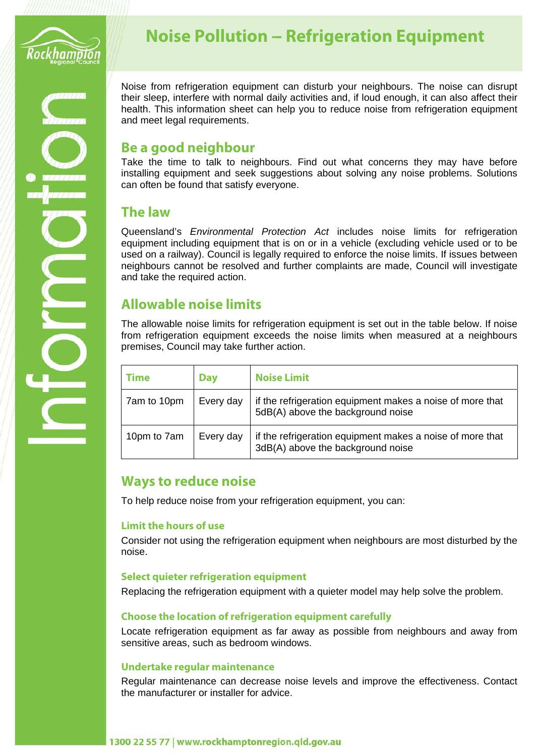

# **Noise Pollution - Refrigeration Equipment**

Noise from refrigeration equipment can disturb your neighbours. The noise can disrupt their sleep, interfere with normal daily activities and, if loud enough, it can also affect their health. This information sheet can help you to reduce noise from refrigeration equipment and meet legal requirements.

### **Be a good neighbour**

Take the time to talk to neighbours. Find out what concerns they may have before installing equipment and seek suggestions about solving any noise problems. Solutions can often be found that satisfy everyone.

### **The law**

Queensland's *Environmental Protection Act* includes noise limits for refrigeration equipment including equipment that is on or in a vehicle (excluding vehicle used or to be used on a railway). Council is legally required to enforce the noise limits. If issues between neighbours cannot be resolved and further complaints are made, Council will investigate and take the required action.

# **Allowable noise limits**

The allowable noise limits for refrigeration equipment is set out in the table below. If noise from refrigeration equipment exceeds the noise limits when measured at a neighbours premises, Council may take further action.

| Time        | <b>Day</b> | <b>Noise Limit</b>                                                                             |
|-------------|------------|------------------------------------------------------------------------------------------------|
| 7am to 10pm | Every day  | if the refrigeration equipment makes a noise of more that<br>5dB(A) above the background noise |
| 10pm to 7am | Every day  | if the refrigeration equipment makes a noise of more that<br>3dB(A) above the background noise |

## **Ways to reduce noise**

To help reduce noise from your refrigeration equipment, you can:

#### **Limit the hours of use**

Consider not using the refrigeration equipment when neighbours are most disturbed by the noise.

#### **Select quieter refrigeration equipment**

Replacing the refrigeration equipment with a quieter model may help solve the problem.

#### **Choose the location of refrigeration equipment carefully**

Locate refrigeration equipment as far away as possible from neighbours and away from sensitive areas, such as bedroom windows.

#### **Undertake regular maintenance**

Regular maintenance can decrease noise levels and improve the effectiveness. Contact the manufacturer or installer for advice.